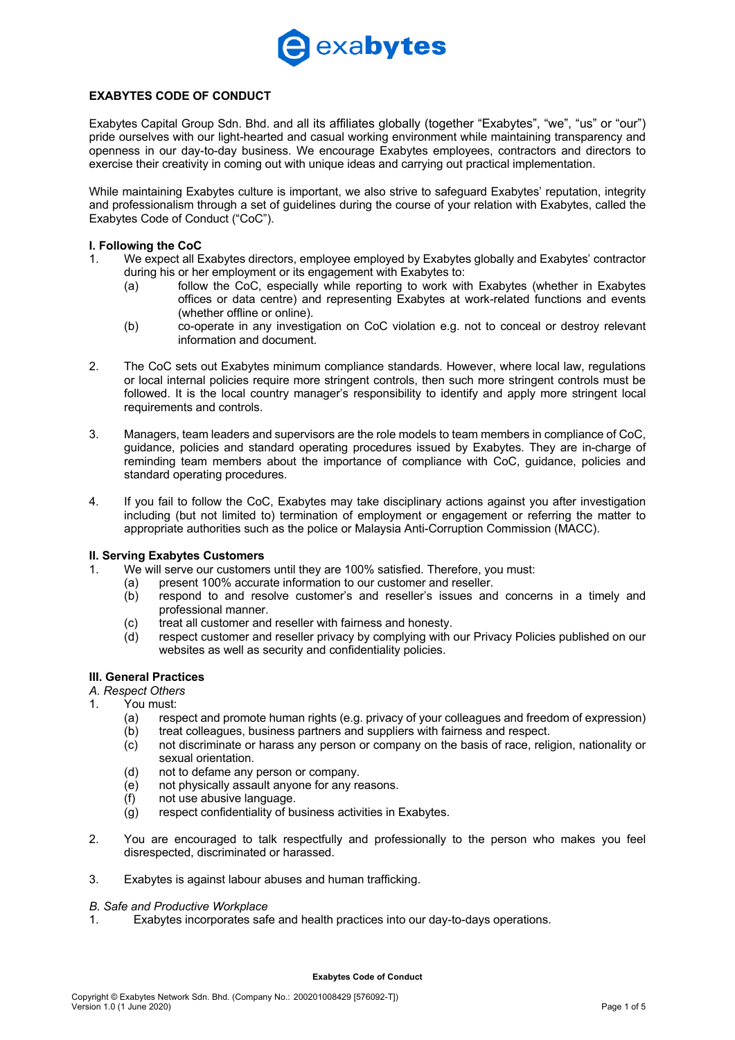

### **EXABYTES CODE OF CONDUCT**

Exabytes Capital Group Sdn. Bhd. and all its affiliates globally (together "Exabytes", "we", "us" or "our") pride ourselves with our light-hearted and casual working environment while maintaining transparency and openness in our day-to-day business. We encourage Exabytes employees, contractors and directors to exercise their creativity in coming out with unique ideas and carrying out practical implementation.

While maintaining Exabytes culture is important, we also strive to safeguard Exabytes' reputation, integrity and professionalism through a set of guidelines during the course of your relation with Exabytes, called the Exabytes Code of Conduct ("CoC").

### **I. Following the CoC**

- 1. We expect all Exabytes directors, employee employed by Exabytes globally and Exabytes' contractor during his or her employment or its engagement with Exabytes to:
	- (a) follow the CoC, especially while reporting to work with Exabytes (whether in Exabytes offices or data centre) and representing Exabytes at work-related functions and events (whether offline or online).
	- (b) co-operate in any investigation on CoC violation e.g. not to conceal or destroy relevant information and document.
- 2. The CoC sets out Exabytes minimum compliance standards. However, where local law, regulations or local internal policies require more stringent controls, then such more stringent controls must be followed. It is the local country manager's responsibility to identify and apply more stringent local requirements and controls.
- 3. Managers, team leaders and supervisors are the role models to team members in compliance of CoC, guidance, policies and standard operating procedures issued by Exabytes. They are in-charge of reminding team members about the importance of compliance with CoC, guidance, policies and standard operating procedures.
- 4. If you fail to follow the CoC, Exabytes may take disciplinary actions against you after investigation including (but not limited to) termination of employment or engagement or referring the matter to appropriate authorities such as the police or Malaysia Anti-Corruption Commission (MACC).

### **II. Serving Exabytes Customers**

- 1. We will serve our customers until they are 100% satisfied. Therefore, you must:
	- (a) present 100% accurate information to our customer and reseller.
	- (b) respond to and resolve customer's and reseller's issues and concerns in a timely and professional manner.
	- (c) treat all customer and reseller with fairness and honesty.
	- (d) respect customer and reseller privacy by complying with our Privacy Policies published on our websites as well as security and confidentiality policies.

### **III. General Practices**

- *A. Respect Others*
- 1. You must:
	- (a) respect and promote human rights (e.g. privacy of your colleagues and freedom of expression)
	- (b) treat colleagues, business partners and suppliers with fairness and respect.
	- (c) not discriminate or harass any person or company on the basis of race, religion, nationality or sexual orientation.
	- (d) not to defame any person or company.
	- (e) not physically assault anyone for any reasons.
	- (f) not use abusive language.
	- $\overrightarrow{a}$  respect confidentiality of business activities in Exabytes.
- 2. You are encouraged to talk respectfully and professionally to the person who makes you feel disrespected, discriminated or harassed.
- 3. Exabytes is against labour abuses and human trafficking.

### *B. Safe and Productive Workplace*

1. Exabytes incorporates safe and health practices into our day-to-days operations.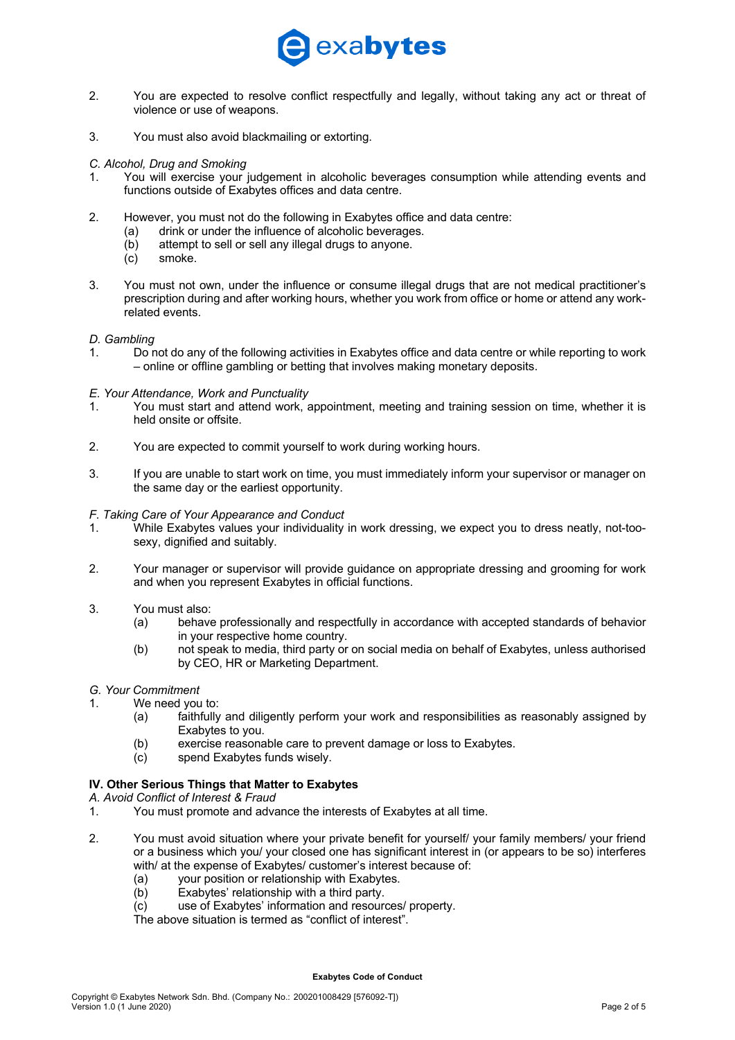

- 2. You are expected to resolve conflict respectfully and legally, without taking any act or threat of violence or use of weapons.
- 3. You must also avoid blackmailing or extorting.

*C. Alcohol, Drug and Smoking*

- 1. You will exercise your judgement in alcoholic beverages consumption while attending events and functions outside of Exabytes offices and data centre.
- 2. However, you must not do the following in Exabytes office and data centre:
	- (a) drink or under the influence of alcoholic beverages.
	- (b) attempt to sell or sell any illegal drugs to anyone.
	- (c) smoke.
- 3. You must not own, under the influence or consume illegal drugs that are not medical practitioner's prescription during and after working hours, whether you work from office or home or attend any workrelated events.

### *D. Gambling*

1. Do not do any of the following activities in Exabytes office and data centre or while reporting to work – online or offline gambling or betting that involves making monetary deposits.

### *E. Your Attendance, Work and Punctuality*

- 1. You must start and attend work, appointment, meeting and training session on time, whether it is held onsite or offsite.
- 2. You are expected to commit yourself to work during working hours.
- 3. If you are unable to start work on time, you must immediately inform your supervisor or manager on the same day or the earliest opportunity.

### *F. Taking Care of Your Appearance and Conduct*

- 1. While Exabytes values your individuality in work dressing, we expect you to dress neatly, not-toosexy, dignified and suitably.
- 2. Your manager or supervisor will provide guidance on appropriate dressing and grooming for work and when you represent Exabytes in official functions.
- 3. You must also:
	- (a) behave professionally and respectfully in accordance with accepted standards of behavior in your respective home country.
	- (b) not speak to media, third party or on social media on behalf of Exabytes, unless authorised by CEO, HR or Marketing Department.

### *G. Your Commitment*

- 1. We need you to:
	- (a) faithfully and diligently perform your work and responsibilities as reasonably assigned by Exabytes to you.
	- (b) exercise reasonable care to prevent damage or loss to Exabytes.
	- (c) spend Exabytes funds wisely.

### **IV. Other Serious Things that Matter to Exabytes**

*A. Avoid Conflict of Interest & Fraud*

- 1. You must promote and advance the interests of Exabytes at all time.
- 2. You must avoid situation where your private benefit for yourself/ your family members/ your friend or a business which you/ your closed one has significant interest in (or appears to be so) interferes with/ at the expense of Exabytes/ customer's interest because of:
	-
	- (a) your position or relationship with Exabytes.<br>(b) Exabytes' relationship with a third party. Exabytes' relationship with a third party.
	- (c) use of Exabytes' information and resources/ property.
	- The above situation is termed as "conflict of interest".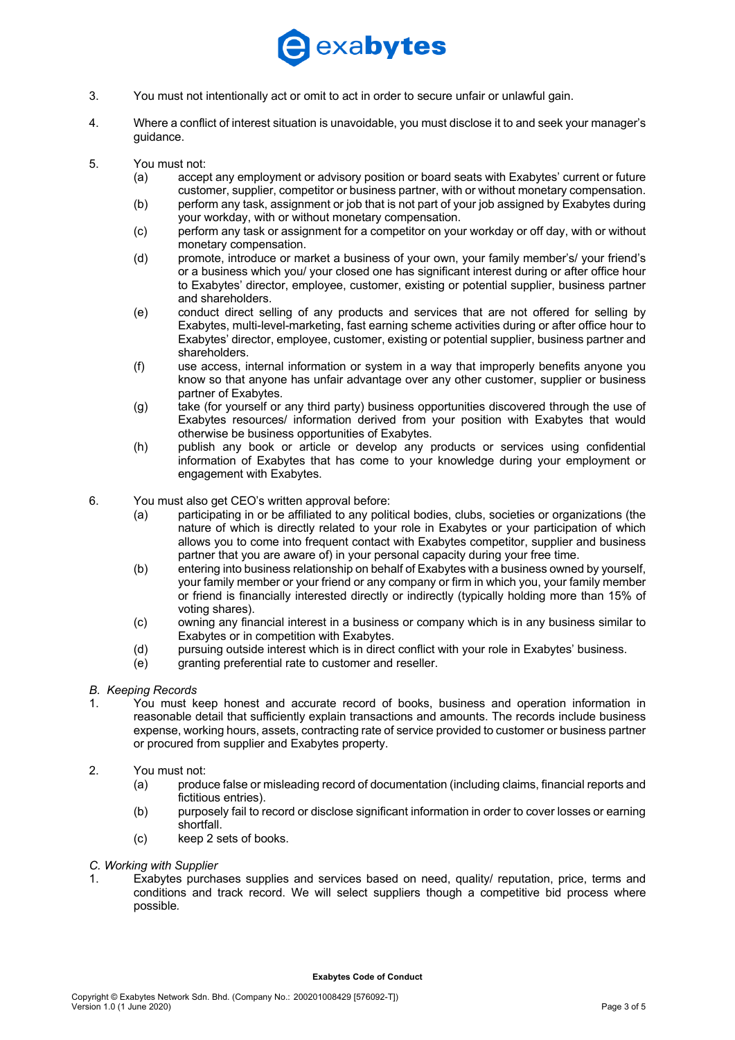# exabytes

- 3. You must not intentionally act or omit to act in order to secure unfair or unlawful gain.
- 4. Where a conflict of interest situation is unavoidable, you must disclose it to and seek your manager's guidance.
- 5. You must not:
	- (a) accept any employment or advisory position or board seats with Exabytes' current or future customer, supplier, competitor or business partner, with or without monetary compensation.
	- (b) perform any task, assignment or job that is not part of your job assigned by Exabytes during your workday, with or without monetary compensation.
	- (c) perform any task or assignment for a competitor on your workday or off day, with or without monetary compensation.
	- (d) promote, introduce or market a business of your own, your family member's/ your friend's or a business which you/ your closed one has significant interest during or after office hour to Exabytes' director, employee, customer, existing or potential supplier, business partner and shareholders.
	- (e) conduct direct selling of any products and services that are not offered for selling by Exabytes, multi-level-marketing, fast earning scheme activities during or after office hour to Exabytes' director, employee, customer, existing or potential supplier, business partner and shareholders.
	- (f) use access, internal information or system in a way that improperly benefits anyone you know so that anyone has unfair advantage over any other customer, supplier or business partner of Exabytes.
	- (g) take (for yourself or any third party) business opportunities discovered through the use of Exabytes resources/ information derived from your position with Exabytes that would otherwise be business opportunities of Exabytes.
	- (h) publish any book or article or develop any products or services using confidential information of Exabytes that has come to your knowledge during your employment or engagement with Exabytes.
- 6. You must also get CEO's written approval before:
	- (a) participating in or be affiliated to any political bodies, clubs, societies or organizations (the nature of which is directly related to your role in Exabytes or your participation of which allows you to come into frequent contact with Exabytes competitor, supplier and business partner that you are aware of) in your personal capacity during your free time.
	- (b) entering into business relationship on behalf of Exabytes with a business owned by yourself, your family member or your friend or any company or firm in which you, your family member or friend is financially interested directly or indirectly (typically holding more than 15% of voting shares).
	- (c) owning any financial interest in a business or company which is in any business similar to Exabytes or in competition with Exabytes.
	- (d) pursuing outside interest which is in direct conflict with your role in Exabytes' business.
	- (e) granting preferential rate to customer and reseller.
- *B. Keeping Records*
- 1. You must keep honest and accurate record of books, business and operation information in reasonable detail that sufficiently explain transactions and amounts. The records include business expense, working hours, assets, contracting rate of service provided to customer or business partner or procured from supplier and Exabytes property.
- 2. You must not:
	- (a) produce false or misleading record of documentation (including claims, financial reports and fictitious entries).
	- (b) purposely fail to record or disclose significant information in order to cover losses or earning shortfall.
	- (c) keep 2 sets of books.
- *C. Working with Supplier*
- 1. Exabytes purchases supplies and services based on need, quality/ reputation, price, terms and conditions and track record. We will select suppliers though a competitive bid process where possible*.*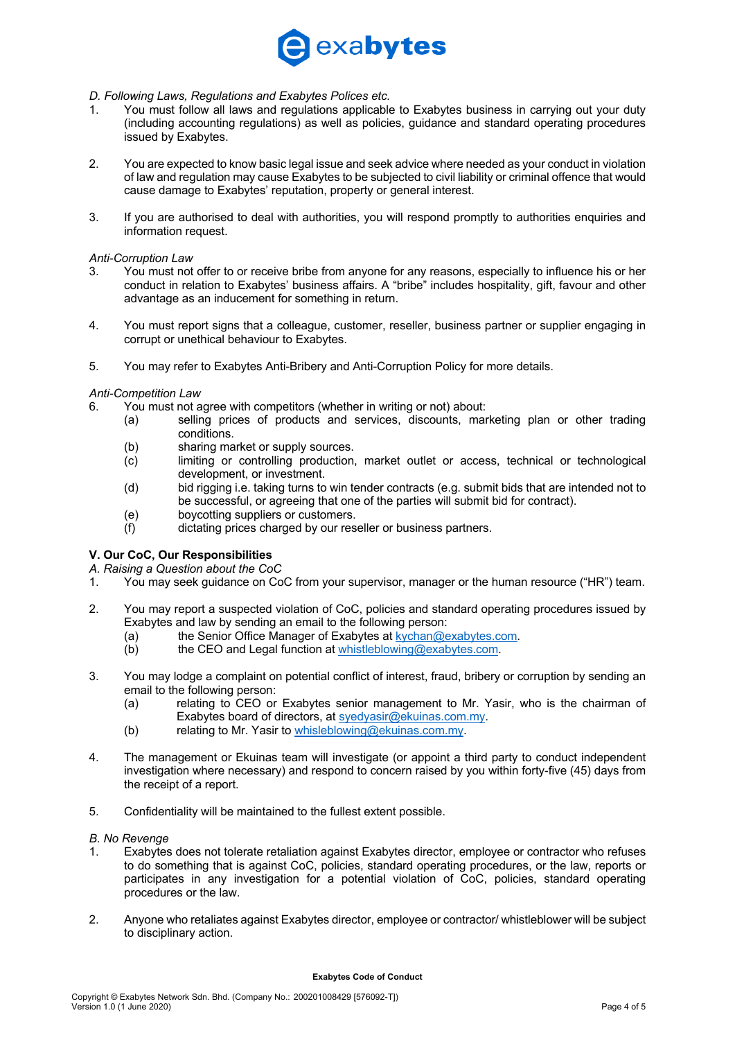# exabytes

### *D. Following Laws, Regulations and Exabytes Polices etc.*

- 1. You must follow all laws and regulations applicable to Exabytes business in carrying out your duty (including accounting regulations) as well as policies, guidance and standard operating procedures issued by Exabytes.
- 2. You are expected to know basic legal issue and seek advice where needed as your conduct in violation of law and regulation may cause Exabytes to be subjected to civil liability or criminal offence that would cause damage to Exabytes' reputation, property or general interest.
- 3. If you are authorised to deal with authorities, you will respond promptly to authorities enquiries and information request.

### *Anti-Corruption Law*

- 3. You must not offer to or receive bribe from anyone for any reasons, especially to influence his or her conduct in relation to Exabytes' business affairs. A "bribe" includes hospitality, gift, favour and other advantage as an inducement for something in return.
- 4. You must report signs that a colleague, customer, reseller, business partner or supplier engaging in corrupt or unethical behaviour to Exabytes.
- 5. You may refer to Exabytes Anti-Bribery and Anti-Corruption Policy for more details.

### *Anti-Competition Law*

- 6. You must not agree with competitors (whether in writing or not) about:
	- (a) selling prices of products and services, discounts, marketing plan or other trading conditions.
	- (b) sharing market or supply sources.
	- (c) limiting or controlling production, market outlet or access, technical or technological development, or investment.
	- (d) bid rigging i.e. taking turns to win tender contracts (e.g. submit bids that are intended not to be successful, or agreeing that one of the parties will submit bid for contract).
	- (e) boycotting suppliers or customers.
	- (f) dictating prices charged by our reseller or business partners.

### **V. Our CoC, Our Responsibilities**

*A. Raising a Question about the CoC*

- 1. You may seek guidance on CoC from your supervisor, manager or the human resource ("HR") team.
- 2. You may report a suspected violation of CoC, policies and standard operating procedures issued by Exabytes and law by sending an email to the following person:
	- (a) the Senior Office Manager of Exabytes at kychan@exabytes.com.
	- (b) the CEO and Legal function at whistleblowing@exabytes.com.
- 3. You may lodge a complaint on potential conflict of interest, fraud, bribery or corruption by sending an email to the following person:
	- (a) relating to CEO or Exabytes senior management to Mr. Yasir, who is the chairman of Exabytes board of directors, at syedyasir@ekuinas.com.my.
	- (b) relating to Mr. Yasir to whisleblowing@ekuinas.com.my.
- 4. The management or Ekuinas team will investigate (or appoint a third party to conduct independent investigation where necessary) and respond to concern raised by you within forty-five (45) days from the receipt of a report.
- 5. Confidentiality will be maintained to the fullest extent possible.

### *B. No Revenge*

- 1. Exabytes does not tolerate retaliation against Exabytes director, employee or contractor who refuses to do something that is against CoC, policies, standard operating procedures, or the law, reports or participates in any investigation for a potential violation of CoC, policies, standard operating procedures or the law.
- 2. Anyone who retaliates against Exabytes director, employee or contractor/ whistleblower will be subject to disciplinary action.